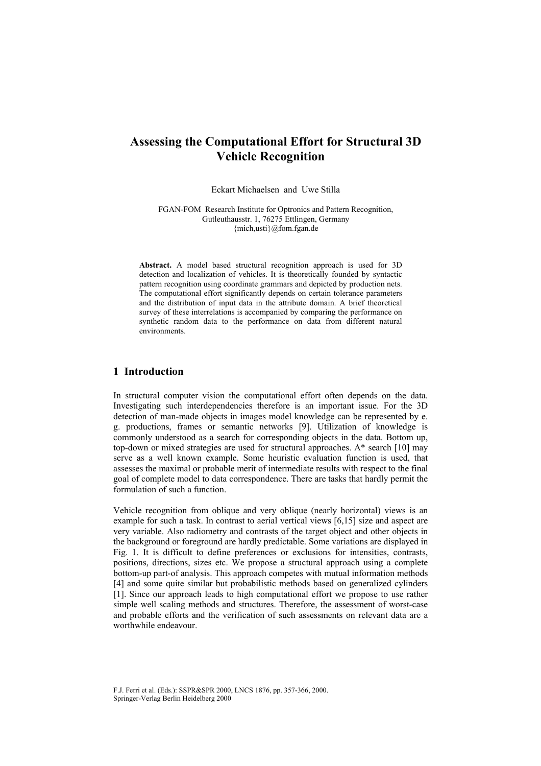# **Assessing the Computational Effort for Structural 3D Vehicle Recognition**

Eckart Michaelsen and Uwe Stilla

FGAN-FOM Research Institute for Optronics and Pattern Recognition, Gutleuthausstr. 1, 76275 Ettlingen, Germany {mich,usti}@fom.fgan.de

**Abstract.** A model based structural recognition approach is used for 3D detection and localization of vehicles. It is theoretically founded by syntactic pattern recognition using coordinate grammars and depicted by production nets. The computational effort significantly depends on certain tolerance parameters and the distribution of input data in the attribute domain. A brief theoretical survey of these interrelations is accompanied by comparing the performance on synthetic random data to the performance on data from different natural environments.

# **1 Introduction**

In structural computer vision the computational effort often depends on the data. Investigating such interdependencies therefore is an important issue. For the 3D detection of man-made objects in images model knowledge can be represented by e. g. productions, frames or semantic networks [9]. Utilization of knowledge is commonly understood as a search for corresponding objects in the data. Bottom up, top-down or mixed strategies are used for structural approaches. A\* search [10] may serve as a well known example. Some heuristic evaluation function is used, that assesses the maximal or probable merit of intermediate results with respect to the final goal of complete model to data correspondence. There are tasks that hardly permit the formulation of such a function.

Vehicle recognition from oblique and very oblique (nearly horizontal) views is an example for such a task. In contrast to aerial vertical views [6,15] size and aspect are very variable. Also radiometry and contrasts of the target object and other objects in the background or foreground are hardly predictable. Some variations are displayed in Fig. 1. It is difficult to define preferences or exclusions for intensities, contrasts, positions, directions, sizes etc. We propose a structural approach using a complete bottom-up part-of analysis. This approach competes with mutual information methods [4] and some quite similar but probabilistic methods based on generalized cylinders [1]. Since our approach leads to high computational effort we propose to use rather simple well scaling methods and structures. Therefore, the assessment of worst-case and probable efforts and the verification of such assessments on relevant data are a worthwhile endeavour.

F.J. Ferri et al. (Eds.): SSPR&SPR 2000, LNCS 1876, pp. 357-366, 2000. Springer-Verlag Berlin Heidelberg 2000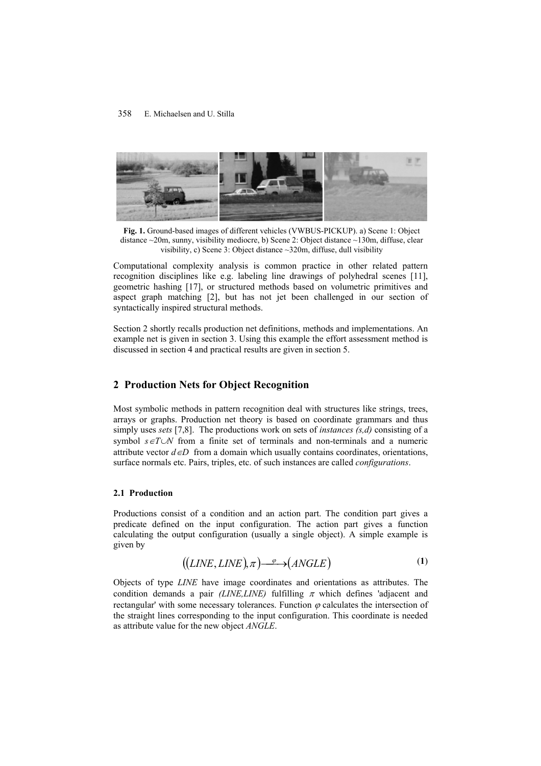

**Fig. 1.** Ground-based images of different vehicles (VWBUS-PICKUP). a) Scene 1: Object distance ~20m, sunny, visibility mediocre, b) Scene 2: Object distance ~130m, diffuse, clear visibility, c) Scene 3: Object distance ~320m, diffuse, dull visibility

Computational complexity analysis is common practice in other related pattern recognition disciplines like e.g. labeling line drawings of polyhedral scenes [11], geometric hashing [17], or structured methods based on volumetric primitives and aspect graph matching [2], but has not jet been challenged in our section of syntactically inspired structural methods.

Section 2 shortly recalls production net definitions, methods and implementations. An example net is given in section 3. Using this example the effort assessment method is discussed in section 4 and practical results are given in section 5.

# **2 Production Nets for Object Recognition**

Most symbolic methods in pattern recognition deal with structures like strings, trees, arrays or graphs. Production net theory is based on coordinate grammars and thus simply uses *sets* [7,8]. The productions work on sets of *instances (s,d)* consisting of a symbol *s*∈*T*∪*N* from a finite set of terminals and non-terminals and a numeric attribute vector  $d ∈ D$  from a domain which usually contains coordinates, orientations, surface normals etc. Pairs, triples, etc. of such instances are called *configurations*.

## **2.1 Production**

Productions consist of a condition and an action part. The condition part gives a predicate defined on the input configuration. The action part gives a function calculating the output configuration (usually a single object). A simple example is given by

$$
((LINE, LINE), \pi) \xrightarrow{\varphi} (ANGLE) \tag{1}
$$

Objects of type *LINE* have image coordinates and orientations as attributes. The condition demands a pair *(LINE,LINE)* fulfilling  $\pi$  which defines 'adjacent and rectangular' with some necessary tolerances. Function  $\varphi$  calculates the intersection of the straight lines corresponding to the input configuration. This coordinate is needed as attribute value for the new object *ANGLE*.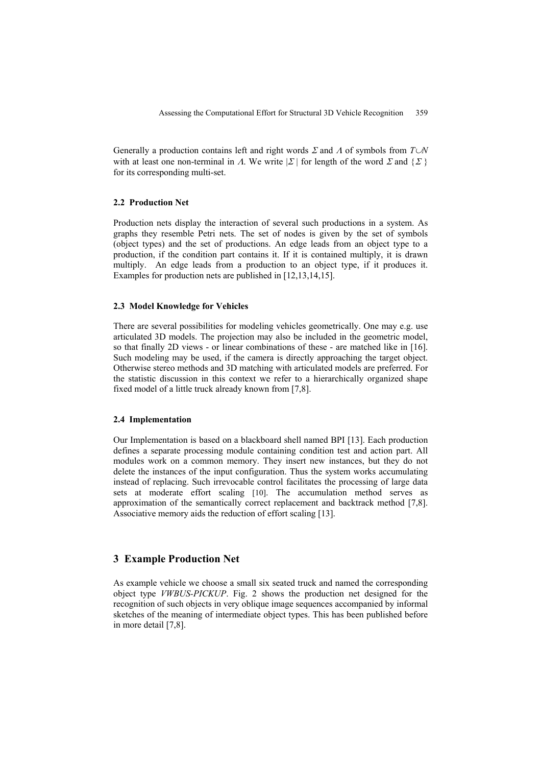Generally a production contains left and right words Σ and Λ of symbols from *T*∪*N* with at least one non-terminal in  $\Lambda$ . We write  $|\Sigma|$  for length of the word  $\Sigma$  and  $\{\Sigma\}$ for its corresponding multi-set.

## **2.2 Production Net**

Production nets display the interaction of several such productions in a system. As graphs they resemble Petri nets. The set of nodes is given by the set of symbols (object types) and the set of productions. An edge leads from an object type to a production, if the condition part contains it. If it is contained multiply, it is drawn multiply. An edge leads from a production to an object type, if it produces it. Examples for production nets are published in [12,13,14,15].

### **2.3 Model Knowledge for Vehicles**

There are several possibilities for modeling vehicles geometrically. One may e.g. use articulated 3D models. The projection may also be included in the geometric model, so that finally 2D views - or linear combinations of these - are matched like in [16]. Such modeling may be used, if the camera is directly approaching the target object. Otherwise stereo methods and 3D matching with articulated models are preferred. For the statistic discussion in this context we refer to a hierarchically organized shape fixed model of a little truck already known from [7,8].

#### **2.4 Implementation**

Our Implementation is based on a blackboard shell named BPI [13]. Each production defines a separate processing module containing condition test and action part. All modules work on a common memory. They insert new instances, but they do not delete the instances of the input configuration. Thus the system works accumulating instead of replacing. Such irrevocable control facilitates the processing of large data sets at moderate effort scaling [10]. The accumulation method serves as approximation of the semantically correct replacement and backtrack method [7,8]. Associative memory aids the reduction of effort scaling [13].

## **3 Example Production Net**

As example vehicle we choose a small six seated truck and named the corresponding object type *VWBUS-PICKUP*. Fig. 2 shows the production net designed for the recognition of such objects in very oblique image sequences accompanied by informal sketches of the meaning of intermediate object types. This has been published before in more detail [7,8].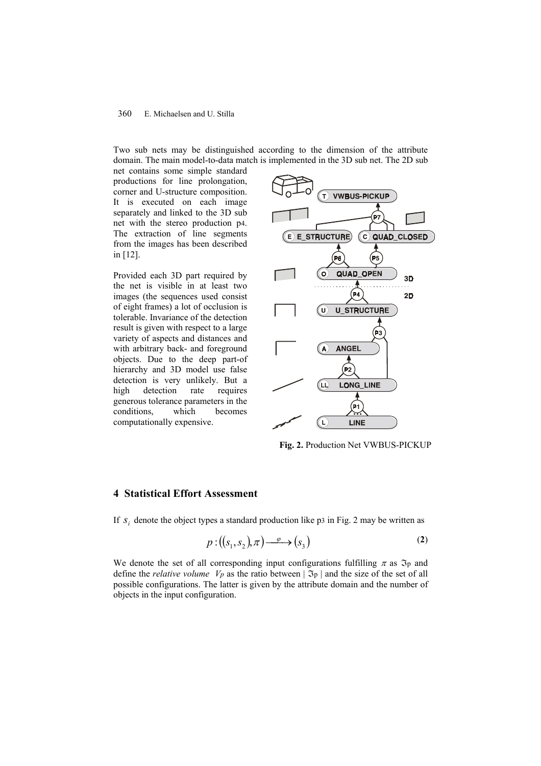#### 360 E. Michaelsen and U. Stilla

Two sub nets may be distinguished according to the dimension of the attribute domain. The main model-to-data match is implemented in the 3D sub net. The 2D sub

net contains some simple standard productions for line prolongation, corner and U-structure composition. It is executed on each image separately and linked to the 3D sub net with the stereo production p4. The extraction of line segments from the images has been described in [12].

Provided each 3D part required by the net is visible in at least two images (the sequences used consist of eight frames) a lot of occlusion is tolerable. Invariance of the detection result is given with respect to a large variety of aspects and distances and with arbitrary back- and foreground objects. Due to the deep part-of hierarchy and 3D model use false detection is very unlikely. But a high detection rate requires generous tolerance parameters in the conditions, which becomes computationally expensive.



**Fig. 2.** Production Net VWBUS-PICKUP

# **4 Statistical Effort Assessment**

If  $s_i$  denote the object types a standard production like p3 in Fig. 2 may be written as

$$
p: ((s_1, s_2), \pi) \xrightarrow{\varphi} (s_3)
$$
 (2)

We denote the set of all corresponding input configurations fulfilling  $\pi$  as  $\mathfrak{I}_p$  and define the *relative volume*  $V_p$  as the ratio between  $|\Im_p|$  and the size of the set of all possible configurations. The latter is given by the attribute domain and the number of objects in the input configuration.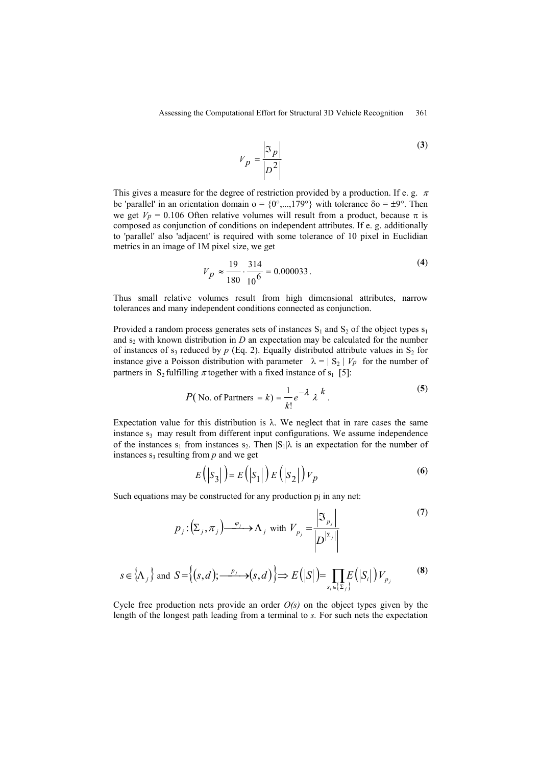$$
V_p = \frac{\left| \Im_p \right|}{\left| D^2 \right|} \tag{3}
$$

This gives a measure for the degree of restriction provided by a production. If e. g.  $\pi$ be 'parallel' in an orientation domain  $o = \{0^\circ, ..., 179^\circ\}$  with tolerance  $\delta o = \pm 9^\circ$ . Then we get  $V_p = 0.106$  Often relative volumes will result from a product, because  $\pi$  is composed as conjunction of conditions on independent attributes. If e. g. additionally to 'parallel' also 'adjacent' is required with some tolerance of 10 pixel in Euclidian metrics in an image of 1M pixel size, we get

$$
V_p \approx \frac{19}{180} \cdot \frac{314}{10^6} = 0.000033
$$
 (4)

Thus small relative volumes result from high dimensional attributes, narrow tolerances and many independent conditions connected as conjunction.

Provided a random process generates sets of instances  $S_1$  and  $S_2$  of the object types  $s_1$ and  $s_2$  with known distribution in  $D$  an expectation may be calculated for the number of instances of  $s_3$  reduced by  $p$  (Eq. 2). Equally distributed attribute values in  $S_2$  for instance give a Poisson distribution with parameter  $\lambda = |S_2| V_p$  for the number of partners in S<sub>2</sub> fulfilling  $\pi$  together with a fixed instance of s<sub>1</sub> [5]:

$$
P(\text{No. of Partners } = k) = \frac{1}{k!}e^{-\lambda} \lambda^{k}.
$$
 (5)

Expectation value for this distribution is  $\lambda$ . We neglect that in rare cases the same instance  $s_3$  may result from different input configurations. We assume independence of the instances s<sub>1</sub> from instances s<sub>2</sub>. Then  $|S_1|\lambda$  is an expectation for the number of instances  $s_3$  resulting from  $p$  and we get

$$
E(|S_3|) = E(|S_1|) E(|S_2|) V_p
$$
\n(6)

Such equations may be constructed for any production pj in any net:

$$
p_j: (\Sigma_j, \pi_j) \xrightarrow{\varphi_j} \Lambda_j \text{ with } V_{p_j} = \frac{\left| \mathfrak{S}_{p_j} \right|}{\left| D^{\left| \Sigma_j \right|} \right|} \tag{7}
$$

$$
s \in \left\{ \Lambda_j \right\} \text{ and } S = \left\{ (s, d) ; \frac{p_j}{\sigma^2} \to (s, d) \right\} \Longrightarrow E\left( |S| \right) = \prod_{s_i \in \left\{ \Sigma_j \right\}} E\left( |S_i| \right) V_{p_j} \tag{8}
$$

Cycle free production nets provide an order  $O(s)$  on the object types given by the length of the longest path leading from a terminal to *s.* For such nets the expectation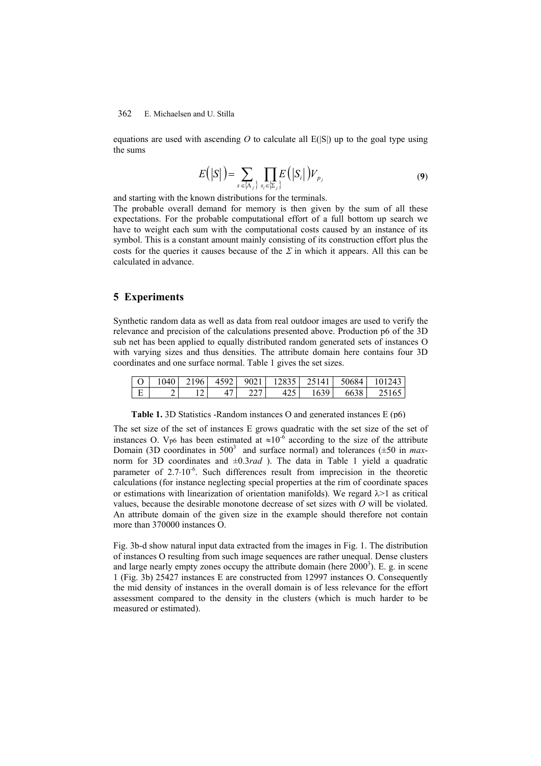#### 362 E. Michaelsen and U. Stilla

equations are used with ascending  $O$  to calculate all  $E(S)$  up to the goal type using the sums

$$
E(|S|) = \sum_{s \in \{\Lambda_j\}} \prod_{s_i \in \{\Sigma_j\}} E(|S_i|) V_{p_j} \tag{9}
$$

and starting with the known distributions for the terminals.

The probable overall demand for memory is then given by the sum of all these expectations. For the probable computational effort of a full bottom up search we have to weight each sum with the computational costs caused by an instance of its symbol. This is a constant amount mainly consisting of its construction effort plus the costs for the queries it causes because of the  $\Sigma$  in which it appears. All this can be calculated in advance.

# **5 Experiments**

Synthetic random data as well as data from real outdoor images are used to verify the relevance and precision of the calculations presented above. Production p6 of the 3D sub net has been applied to equally distributed random generated sets of instances O with varying sizes and thus densities. The attribute domain here contains four 3D coordinates and one surface normal. Table 1 gives the set sizes.

|  |  |        |  | $\mid$ O $\mid$ 1040 $\mid$ 2196 $\mid$ 4592 $\mid$ 9021 $\mid$ 12835 $\mid$ 25141 $\mid$ 50684 $\mid$ 101243 |
|--|--|--------|--|---------------------------------------------------------------------------------------------------------------|
|  |  | 47 227 |  | $\begin{array}{ c c c c c c c c } \hline \end{array}$ 425   1639   6638   25165                               |

**Table 1.** 3D Statistics -Random instances O and generated instances E (p6)

The set size of the set of instances E grows quadratic with the set size of the set of instances O. V<sub>p6</sub> has been estimated at  $\approx 10^{-6}$  according to the size of the attribute Domain (3D coordinates in  $500^3$  and surface normal) and tolerances ( $\pm 50$  in *max*norm for 3D coordinates and ±0.3*rad* ). The data in Table 1 yield a quadratic parameter of 2.7⋅10<sup>-6</sup>. Such differences result from imprecision in the theoretic calculations (for instance neglecting special properties at the rim of coordinate spaces or estimations with linearization of orientation manifolds). We regard  $\lambda$  as critical values, because the desirable monotone decrease of set sizes with *O* will be violated. An attribute domain of the given size in the example should therefore not contain more than 370000 instances O.

Fig. 3b-d show natural input data extracted from the images in Fig. 1. The distribution of instances O resulting from such image sequences are rather unequal. Dense clusters and large nearly empty zones occupy the attribute domain (here  $2000<sup>3</sup>$ ). E. g. in scene 1 (Fig. 3b) 25427 instances E are constructed from 12997 instances O. Consequently the mid density of instances in the overall domain is of less relevance for the effort assessment compared to the density in the clusters (which is much harder to be measured or estimated).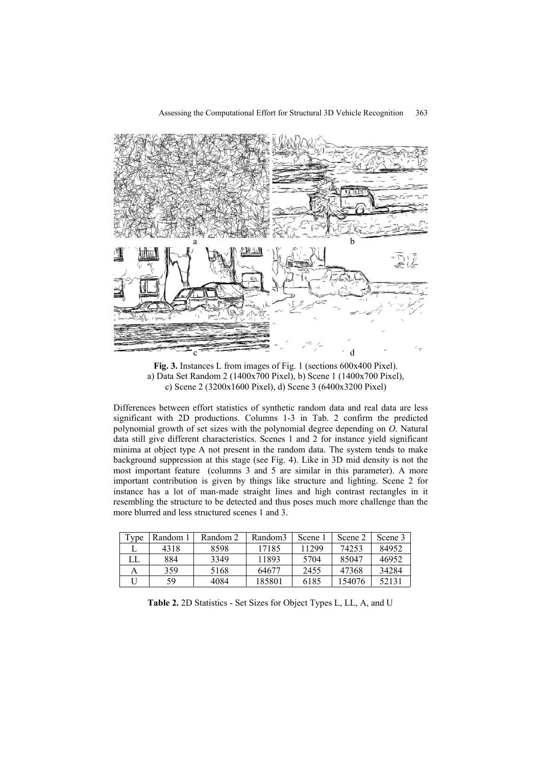

**Fig. 3.** Instances L from images of Fig. 1 (sections 600x400 Pixel). a) Data Set Random 2 (1400x700 Pixel), b) Scene 1 (1400x700 Pixel), c) Scene 2 (3200x1600 Pixel), d) Scene 3 (6400x3200 Pixel)

Differences between effort statistics of synthetic random data and real data are less significant with 2D productions. Columns 1-3 in Tab. 2 confirm the predicted polynomial growth of set sizes with the polynomial degree depending on *O*. Natural data still give different characteristics. Scenes 1 and 2 for instance yield significant minima at object type A not present in the random data. The system tends to make background suppression at this stage (see Fig. 4). Like in 3D mid density is not the most important feature (columns 3 and 5 are similar in this parameter). A more important contribution is given by things like structure and lighting. Scene 2 for instance has a lot of man-made straight lines and high contrast rectangles in it resembling the structure to be detected and thus poses much more challenge than the more blurred and less structured scenes 1 and 3.

| Type | Random 1 | Random 2 | Random3 | Scene | Scene 2 | Scene 3 |
|------|----------|----------|---------|-------|---------|---------|
|      | 4318     | 8598     | 17185   | 11299 | 74253   | 84952   |
| LL.  | 884      | 3349     | 11893   | 5704  | 85047   | 46952   |
|      | 359      | 5168     | 64677   | 2455  | 47368   | 34284   |
|      | 59       | 4084     | 185801  | 6185  | 154076  | 52131   |

**Table 2.** 2D Statistics - Set Sizes for Object Types L, LL, A, and U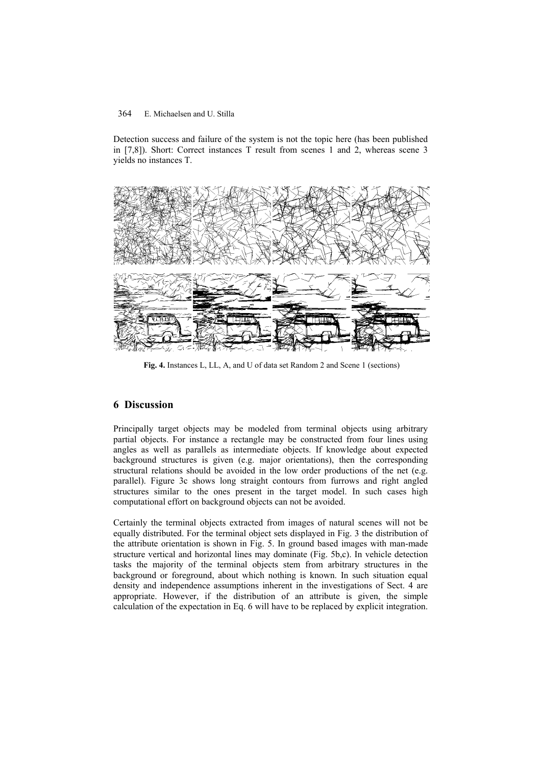## 364 E. Michaelsen and U. Stilla

Detection success and failure of the system is not the topic here (has been published in [7,8]). Short: Correct instances T result from scenes 1 and 2, whereas scene 3 yields no instances T.



**Fig. 4.** Instances L, LL, A, and U of data set Random 2 and Scene 1 (sections)

# **6 Discussion**

Principally target objects may be modeled from terminal objects using arbitrary partial objects. For instance a rectangle may be constructed from four lines using angles as well as parallels as intermediate objects. If knowledge about expected background structures is given (e.g. major orientations), then the corresponding structural relations should be avoided in the low order productions of the net (e.g. parallel). Figure 3c shows long straight contours from furrows and right angled structures similar to the ones present in the target model. In such cases high computational effort on background objects can not be avoided.

Certainly the terminal objects extracted from images of natural scenes will not be equally distributed. For the terminal object sets displayed in Fig. 3 the distribution of the attribute orientation is shown in Fig. 5. In ground based images with man-made structure vertical and horizontal lines may dominate (Fig. 5b,c). In vehicle detection tasks the majority of the terminal objects stem from arbitrary structures in the background or foreground, about which nothing is known. In such situation equal density and independence assumptions inherent in the investigations of Sect. 4 are appropriate. However, if the distribution of an attribute is given, the simple calculation of the expectation in Eq. 6 will have to be replaced by explicit integration.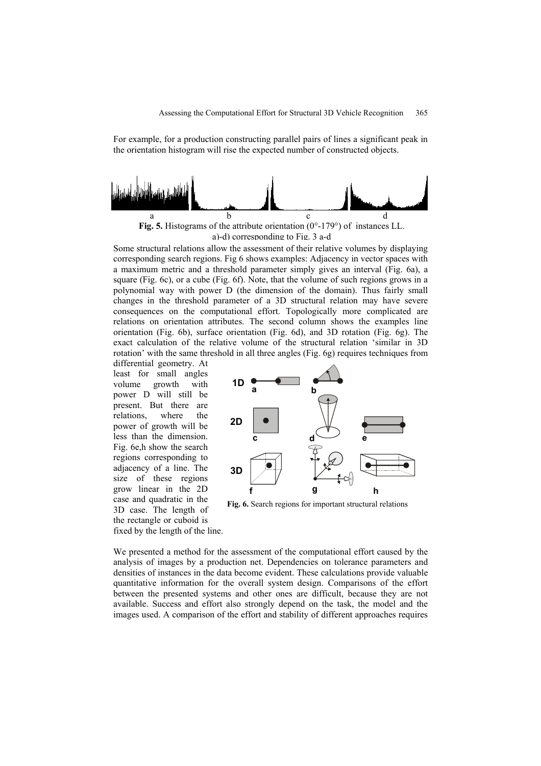For example, for a production constructing parallel pairs of lines a significant peak in the orientation histogram will rise the expected number of constructed objects.





Some structural relations allow the assessment of their relative volumes by displaying corresponding search regions. Fig 6 shows examples: Adjacency in vector spaces with a maximum metric and a threshold parameter simply gives an interval (Fig. 6a), a square (Fig. 6c), or a cube (Fig. 6f). Note, that the volume of such regions grows in a polynomial way with power D (the dimension of the domain). Thus fairly small changes in the threshold parameter of a 3D structural relation may have severe consequences on the computational effort. Topologically more complicated are relations on orientation attributes. The second column shows the examples line orientation (Fig. 6b), surface orientation (Fig. 6d), and 3D rotation (Fig. 6g). The exact calculation of the relative volume of the structural relation 'similar in 3D rotation' with the same threshold in all three angles (Fig. 6g) requires techniques from

differential geometry. At least for small angles volume growth with power D will still be present. But there are relations, where the power of growth will be less than the dimension. Fig. 6e,h show the search regions corresponding to adjacency of a line. The size of these regions grow linear in the 2D case and quadratic in the 3D case. The length of the rectangle or cuboid is fixed by the length of the line.



**Fig. 6.** Search regions for important structural relations

We presented a method for the assessment of the computational effort caused by the analysis of images by a production net. Dependencies on tolerance parameters and densities of instances in the data become evident. These calculations provide valuable quantitative information for the overall system design. Comparisons of the effort between the presented systems and other ones are difficult, because they are not available. Success and effort also strongly depend on the task, the model and the images used. A comparison of the effort and stability of different approaches requires